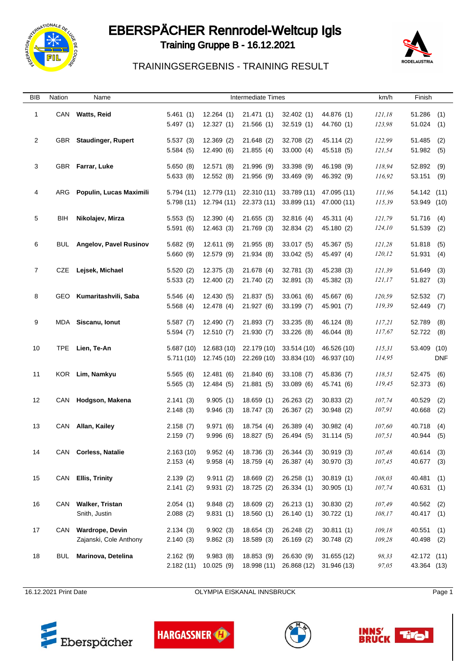

## EBERSPÄCHER Rennrodel-Weltcup Igls



Training Gruppe B - 16.12.2021

## TRAININGSERGEBNIS - TRAINING RESULT

| BIB | Nation     | Name                          | <b>Intermediate Times</b> |                          |                           |                                            |                            | km/h<br>Finish   |                            |            |
|-----|------------|-------------------------------|---------------------------|--------------------------|---------------------------|--------------------------------------------|----------------------------|------------------|----------------------------|------------|
| 1   |            | CAN Watts, Reid               | 5.461(1)                  | 12.264 (1)               | 21.471 (1)                | 32.402(1)                                  | 44.876 (1)                 | 121,18           | 51.286                     | (1)        |
|     |            |                               | 5.497(1)                  | 12.327(1)                | 21.566(1)                 | 32.519(1)                                  | 44.760 (1)                 | 123,98           | 51.024                     | (1)        |
| 2   |            | GBR Staudinger, Rupert        | 5.537(3)                  | 12.369(2)                | 21.648 (2)                | 32.708 (2)                                 | 45.114 (2)                 | 122,99           | 51.485                     | (2)        |
|     |            |                               | 5.584(5)                  | 12.490 (6)               | 21.855(4)                 | 33.000(4)                                  | 45.518 (5)                 | 121,54           | 51.982(5)                  |            |
|     |            |                               |                           |                          |                           |                                            |                            |                  |                            |            |
| 3   |            | GBR Farrar, Luke              | 5.650(8)<br>5.633(8)      | 12.571 (8)<br>12.552 (8) | 21.996 (9)<br>21.956 (9)  | 33.398 (9)<br>33.469 (9)                   | 46.198 (9)<br>46.392 (9)   | 118,94<br>116,92 | 52.892<br>53.151 (9)       | (9)        |
|     |            |                               |                           |                          |                           |                                            |                            |                  |                            |            |
| 4   | ARG        | Populin, Lucas Maximili       |                           | $5.794(11)$ $12.779(11)$ | 22.310 (11)               | 33.789 (11)                                | 47.095 (11)                | 111,96           | 54.142 (11)                |            |
|     |            |                               |                           | 5.798 (11) 12.794 (11)   | 22.373 (11)               | 33.899 (11)                                | 47.000 (11)                | 115,39           | 53.949 (10)                |            |
| 5   | BIH        | Nikolajev, Mirza              | 5.553(5)                  | 12.390 (4)               | 21.655(3)                 | 32.816(4)                                  | 45.311 (4)                 | 121,79           | 51.716                     | (4)        |
|     |            |                               | 5.591(6)                  | 12.463(3)                | 21.769 (3)                | 32.834(2)                                  | 45.180 (2)                 | 124,10           | 51.539                     | (2)        |
| 6   | BUL        | <b>Angelov, Pavel Rusinov</b> | 5.682(9)                  | 12.611(9)                | 21.955 (8)                | 33.017 (5)                                 | 45.367 (5)                 | 121,28           | 51.818                     | (5)        |
|     |            |                               | 5.660(9)                  | 12.579 (9)               | 21.934 (8)                | 33.042(5)                                  | 45.497 (4)                 | 120,12           | 51.931                     | (4)        |
| 7   | CZE        | Lejsek, Michael               | 5.520(2)                  | 12.375 (3)               | 21.678 (4)                | 32.781 (3)                                 | 45.238 (3)                 | 121,39           | 51.649                     | (3)        |
|     |            |                               | 5.533(2)                  | 12.400(2)                | 21.740 (2)                | 32.891(3)                                  | 45.382 (3)                 | 121, 17          | 51.827                     | (3)        |
|     |            |                               |                           |                          |                           |                                            |                            |                  |                            |            |
| 8   | GEO        | Kumaritashvili, Saba          | 5.546(4)<br>5.568(4)      | 12.430 (5)<br>12.478 (4) | 21.837 (5)<br>21.927 (6)  | 33.061(6)<br>33.199 (7)                    | 45.667 (6)<br>45.901 (7)   | 120,59<br>119,39 | 52.532<br>52.449 (7)       | (7)        |
|     |            |                               |                           |                          |                           |                                            |                            |                  |                            |            |
| 9   |            | MDA Siscanu, Ionut            | 5.587(7)                  | 12.490(7)                | 21.893(7)                 | 33.235(8)                                  | 46.124 (8)                 | 117,21           | 52.789                     | (8)        |
|     |            |                               | 5.594(7)                  | 12.510(7)                | 21.930(7)                 | 33.226(8)                                  | 46.044 (8)                 | 117,67           | 52.722 (8)                 |            |
| 10  | TPE        | Lien, Te-An                   | 5.687(10)                 | 12.683 (10)              | 22.179 (10)               | 33.514 (10)                                | 46.526 (10)                | 115,31           | 53.409 (10)                |            |
|     |            |                               | 5.711(10)                 | 12.745 (10)              | 22.269 (10)               | 33.834 (10)                                | 46.937 (10)                | 114,95           |                            | <b>DNF</b> |
| 11  |            | KOR Lim, Namkyu               | 5.565(6)                  | 12.481 (6)               | 21.840 (6)                | 33.108(7)                                  | 45.836 (7)                 | 118,51           | 52.475                     | (6)        |
|     |            |                               | 5.565(3)                  | 12.484 (5)               | 21.881 (5)                | 33.089 (6)                                 | 45.741 (6)                 | 119,45           | 52.373                     | (6)        |
| 12  |            | CAN Hodgson, Makena           | 2.141(3)                  | 9.905(1)                 | 18.659(1)                 | 26.263(2)                                  | 30.833(2)                  | 107,74           | 40.529                     | (2)        |
|     |            |                               | 2.148(3)                  | 9.946(3)                 | 18.747 (3)                | 26.367 (2)                                 | 30.948(2)                  | 107,91           | 40.668                     | (2)        |
|     |            |                               |                           |                          |                           |                                            |                            |                  |                            |            |
| 13  |            | CAN Allan, Kailey             | 2.158(7)<br>2.159(7)      | 9.971(6)<br>9.996(6)     | 18.754(4)<br>18.827 (5)   | 26.389 (4)<br>26.494 (5)                   | 30.982(4)<br>31.114(5)     | 107,60<br>107,51 | 40.718<br>40.944           | (4)<br>(5) |
|     |            |                               |                           |                          |                           |                                            |                            |                  |                            |            |
| 14  |            | CAN Corless, Natalie          | 2.163(10)                 |                          |                           | 9.952 (4) 18.736 (3) 26.344 (3) 30.919 (3) |                            | 107,48           | 40.614 (3)                 |            |
|     |            |                               | 2.153(4)                  | 9.958(4)                 | 18.759 (4)                | 26.387 (4)                                 | 30.970 (3)                 | 107,45           | 40.677                     | (3)        |
| 15  |            | CAN Ellis, Trinity            | 2.139(2)                  | 9.911(2)                 | 18.669(2)                 | 26.258(1)                                  | 30.819(1)                  | 108,03           | 40.481                     | (1)        |
|     |            |                               | 2.141(2)                  | 9.931(2)                 | 18.725(2)                 | 26.334(1)                                  | 30.905(1)                  | 107,74           | 40.631                     | (1)        |
| 16  |            | CAN Walker, Tristan           | 2.054(1)                  | 9.848(2)                 | 18.609(2)                 | 26.213(1)                                  | 30.830(2)                  | 107,49           | $40.562$ (2)               |            |
|     |            | Snith, Justin                 | 2.088(2)                  | 9.831(1)                 | 18.560(1)                 | 26.140(1)                                  | 30.722(1)                  | 108,17           | 40.417 (1)                 |            |
| 17  |            | CAN Wardrope, Devin           | 2.134(3)                  | 9.902(3)                 | 18.654(3)                 | 26.248 (2)                                 | 30.811(1)                  | 109,18           | 40.551                     | (1)        |
|     |            | Zajanski, Cole Anthony        | 2.140(3)                  | 9.862(3)                 | 18.589(3)                 | 26.169 (2)                                 | 30.748(2)                  | 109,28           | 40.498 (2)                 |            |
|     |            |                               |                           |                          |                           |                                            |                            |                  |                            |            |
| 18  | <b>BUL</b> | Marinova, Detelina            | 2.162(9)<br>2.182(11)     | 9.983(8)<br>10.025(9)    | 18.853 (9)<br>18.998 (11) | 26.630 (9)<br>26.868 (12)                  | 31.655 (12)<br>31.946 (13) | 98,33<br>97,05   | 42.172 (11)<br>43.364 (13) |            |
|     |            |                               |                           |                          |                           |                                            |                            |                  |                            |            |

16.12.2021 Print Date **Date COLYMPIA EISKANAL INNSBRUCK** Page 1